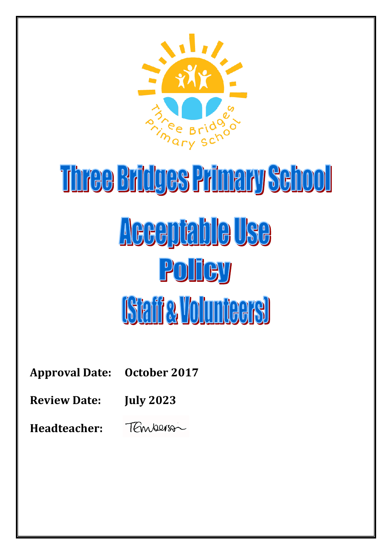

# Three Bridges Primary School Acceptable Use Policy **[Staffe, Volunteers]**

**Approval Date: October 2017**

**Review Date: July 2023**

**Headteacher:** TEmperson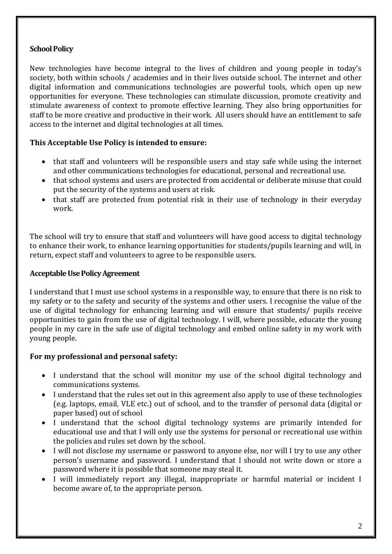# **School Policy**

New technologies have become integral to the lives of children and young people in today's society, both within schools / academies and in their lives outside school. The internet and other digital information and communications technologies are powerful tools, which open up new opportunities for everyone. These technologies can stimulate discussion, promote creativity and stimulate awareness of context to promote effective learning. They also bring opportunities for staff to be more creative and productive in their work. All users should have an entitlement to safe access to the internet and digital technologies at all times.

# **This Acceptable Use Policy is intended to ensure:**

- that staff and volunteers will be responsible users and stay safe while using the internet and other communications technologies for educational, personal and recreational use.
- that school systems and users are protected from accidental or deliberate misuse that could put the security of the systems and users at risk.
- that staff are protected from potential risk in their use of technology in their everyday work.

The school will try to ensure that staff and volunteers will have good access to digital technology to enhance their work, to enhance learning opportunities for students/pupils learning and will, in return, expect staff and volunteers to agree to be responsible users.

## **Acceptable Use Policy Agreement**

I understand that I must use school systems in a responsible way, to ensure that there is no risk to my safety or to the safety and security of the systems and other users. I recognise the value of the use of digital technology for enhancing learning and will ensure that students/ pupils receive opportunities to gain from the use of digital technology. I will, where possible, educate the young people in my care in the safe use of digital technology and embed online safety in my work with young people.

# **For my professional and personal safety:**

- I understand that the school will monitor my use of the school digital technology and communications systems.
- I understand that the rules set out in this agreement also apply to use of these technologies (e.g. laptops, email, VLE etc.) out of school, and to the transfer of personal data (digital or paper based) out of school
- I understand that the school digital technology systems are primarily intended for educational use and that I will only use the systems for personal or recreational use within the policies and rules set down by the school.
- I will not disclose my username or password to anyone else, nor will I try to use any other person's username and password. I understand that I should not write down or store a password where it is possible that someone may steal it.
- I will immediately report any illegal, inappropriate or harmful material or incident I become aware of, to the appropriate person.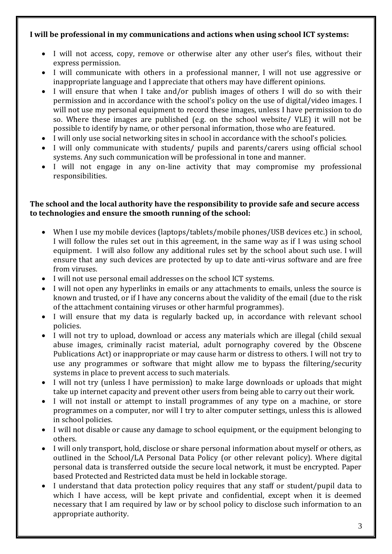# **I will be professional in my communications and actions when using school ICT systems:**

- I will not access, copy, remove or otherwise alter any other user's files, without their express permission.
- I will communicate with others in a professional manner, I will not use aggressive or inappropriate language and I appreciate that others may have different opinions.
- I will ensure that when I take and/or publish images of others I will do so with their permission and in accordance with the school's policy on the use of digital/video images. I will not use my personal equipment to record these images, unless I have permission to do so. Where these images are published (e.g. on the school website/ VLE) it will not be possible to identify by name, or other personal information, those who are featured.
- I will only use social networking sites in school in accordance with the school's policies.
- I will only communicate with students/ pupils and parents/carers using official school systems. Any such communication will be professional in tone and manner.
- I will not engage in any on-line activity that may compromise my professional responsibilities.

#### **The school and the local authority have the responsibility to provide safe and secure access to technologies and ensure the smooth running of the school:**

- When I use my mobile devices (laptops/tablets/mobile phones/USB devices etc.) in school, I will follow the rules set out in this agreement, in the same way as if I was using school equipment. I will also follow any additional rules set by the school about such use. I will ensure that any such devices are protected by up to date anti-virus software and are free from viruses.
- I will not use personal email addresses on the school ICT systems.
- I will not open any hyperlinks in emails or any attachments to emails, unless the source is known and trusted, or if I have any concerns about the validity of the email (due to the risk of the attachment containing viruses or other harmful programmes).
- I will ensure that my data is regularly backed up, in accordance with relevant school policies.
- I will not try to upload, download or access any materials which are illegal (child sexual abuse images, criminally racist material, adult pornography covered by the Obscene Publications Act) or inappropriate or may cause harm or distress to others. I will not try to use any programmes or software that might allow me to bypass the filtering/security systems in place to prevent access to such materials.
- I will not try (unless I have permission) to make large downloads or uploads that might take up internet capacity and prevent other users from being able to carry out their work.
- I will not install or attempt to install programmes of any type on a machine, or store programmes on a computer, nor will I try to alter computer settings, unless this is allowed in school policies.
- I will not disable or cause any damage to school equipment, or the equipment belonging to others.
- I will only transport, hold, disclose or share personal information about myself or others, as outlined in the School/LA Personal Data Policy (or other relevant policy). Where digital personal data is transferred outside the secure local network, it must be encrypted. Paper based Protected and Restricted data must be held in lockable storage.
- I understand that data protection policy requires that any staff or student/pupil data to which I have access, will be kept private and confidential, except when it is deemed necessary that I am required by law or by school policy to disclose such information to an appropriate authority.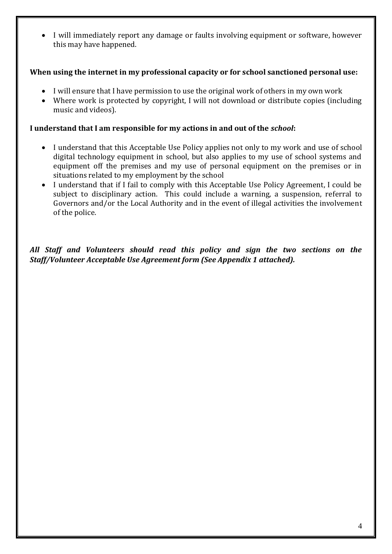I will immediately report any damage or faults involving equipment or software, however this may have happened.

## **When using the internet in my professional capacity or for school sanctioned personal use:**

- I will ensure that I have permission to use the original work of others in my own work
- Where work is protected by copyright, I will not download or distribute copies (including music and videos).

#### **I understand that I am responsible for my actions in and out of the** *school***:**

- I understand that this Acceptable Use Policy applies not only to my work and use of school digital technology equipment in school, but also applies to my use of school systems and equipment off the premises and my use of personal equipment on the premises or in situations related to my employment by the school
- I understand that if I fail to comply with this Acceptable Use Policy Agreement, I could be subject to disciplinary action. This could include a warning, a suspension, referral to Governors and/or the Local Authority and in the event of illegal activities the involvement of the police.

*All Staff and Volunteers should read this policy and sign the two sections on the Staff/Volunteer Acceptable Use Agreement form (See Appendix 1 attached).*